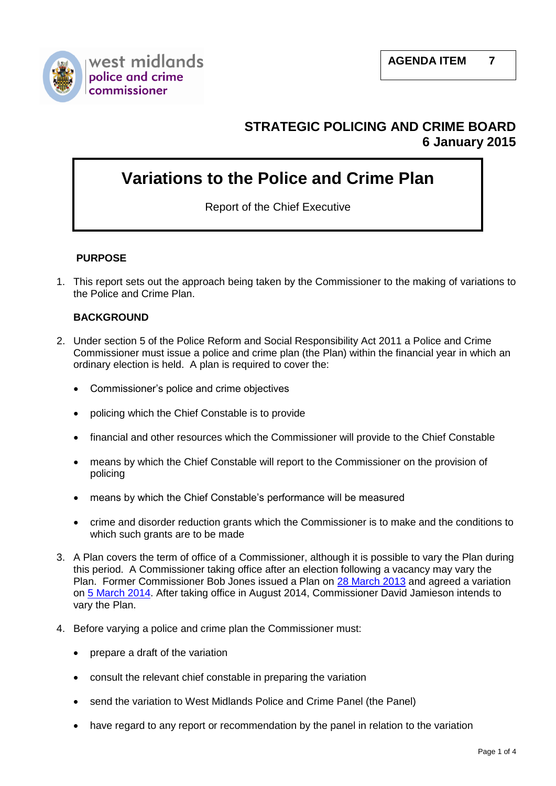

# **STRATEGIC POLICING AND CRIME BOARD 6 January 2015**

# **Variations to the Police and Crime Plan**

Report of the Chief Executive

# **PURPOSE**

1. This report sets out the approach being taken by the Commissioner to the making of variations to the Police and Crime Plan.

#### **BACKGROUND**

- 2. Under section 5 of the Police Reform and Social Responsibility Act 2011 a Police and Crime Commissioner must issue a police and crime plan (the Plan) within the financial year in which an ordinary election is held. A plan is required to cover the:
	- Commissioner's police and crime objectives
	- policing which the Chief Constable is to provide
	- financial and other resources which the Commissioner will provide to the Chief Constable
	- means by which the Chief Constable will report to the Commissioner on the provision of policing
	- means by which the Chief Constable's performance will be measured
	- crime and disorder reduction grants which the Commissioner is to make and the conditions to which such grants are to be made
- 3. A Plan covers the term of office of a Commissioner, although it is possible to vary the Plan during this period. A Commissioner taking office after an election following a vacancy may vary the Plan. Former Commissioner Bob Jones issued a Plan on [28 March 2013](http://westmidlands-pcc.gov.uk/your-commissioner/police-and-crime-plan/police-and-crime-plan-2013-14/) and agreed a variation on [5 March 2014.](http://westmidlands-pcc.gov.uk/your-commissioner/police-and-crime-plan/police-and-crime-plan-2014-15/) After taking office in August 2014, Commissioner David Jamieson intends to vary the Plan.
- 4. Before varying a police and crime plan the Commissioner must:
	- prepare a draft of the variation
	- consult the relevant chief constable in preparing the variation
	- send the variation to West Midlands Police and Crime Panel (the Panel)
	- have regard to any report or recommendation by the panel in relation to the variation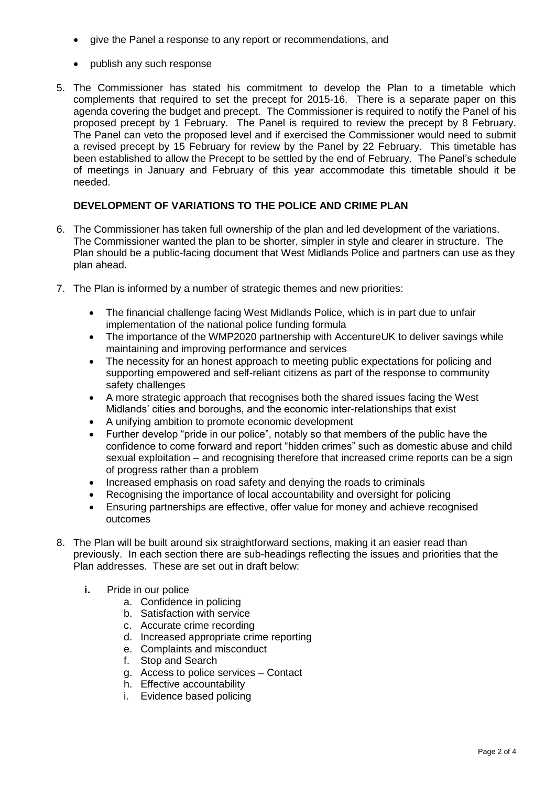- give the Panel a response to any report or recommendations, and
- publish any such response
- 5. The Commissioner has stated his commitment to develop the Plan to a timetable which complements that required to set the precept for 2015-16. There is a separate paper on this agenda covering the budget and precept. The Commissioner is required to notify the Panel of his proposed precept by 1 February. The Panel is required to review the precept by 8 February. The Panel can veto the proposed level and if exercised the Commissioner would need to submit a revised precept by 15 February for review by the Panel by 22 February. This timetable has been established to allow the Precept to be settled by the end of February. The Panel's schedule of meetings in January and February of this year accommodate this timetable should it be needed.

# **DEVELOPMENT OF VARIATIONS TO THE POLICE AND CRIME PLAN**

- 6. The Commissioner has taken full ownership of the plan and led development of the variations. The Commissioner wanted the plan to be shorter, simpler in style and clearer in structure. The Plan should be a public-facing document that West Midlands Police and partners can use as they plan ahead.
- 7. The Plan is informed by a number of strategic themes and new priorities:
	- The financial challenge facing West Midlands Police, which is in part due to unfair implementation of the national police funding formula
	- The importance of the WMP2020 partnership with AccentureUK to deliver savings while maintaining and improving performance and services
	- The necessity for an honest approach to meeting public expectations for policing and supporting empowered and self-reliant citizens as part of the response to community safety challenges
	- A more strategic approach that recognises both the shared issues facing the West Midlands' cities and boroughs, and the economic inter-relationships that exist
	- A unifying ambition to promote economic development
	- Further develop "pride in our police", notably so that members of the public have the confidence to come forward and report "hidden crimes" such as domestic abuse and child sexual exploitation – and recognising therefore that increased crime reports can be a sign of progress rather than a problem
	- Increased emphasis on road safety and denying the roads to criminals
	- Recognising the importance of local accountability and oversight for policing
	- Ensuring partnerships are effective, offer value for money and achieve recognised outcomes
- 8. The Plan will be built around six straightforward sections, making it an easier read than previously. In each section there are sub-headings reflecting the issues and priorities that the Plan addresses. These are set out in draft below:
	- **i.** Pride in our police
		- a. Confidence in policing
		- b. Satisfaction with service
		- c. Accurate crime recording
		- d. Increased appropriate crime reporting
		- e. Complaints and misconduct
		- f. Stop and Search
		- g. Access to police services Contact
		- h. Effective accountability
		- i. Evidence based policing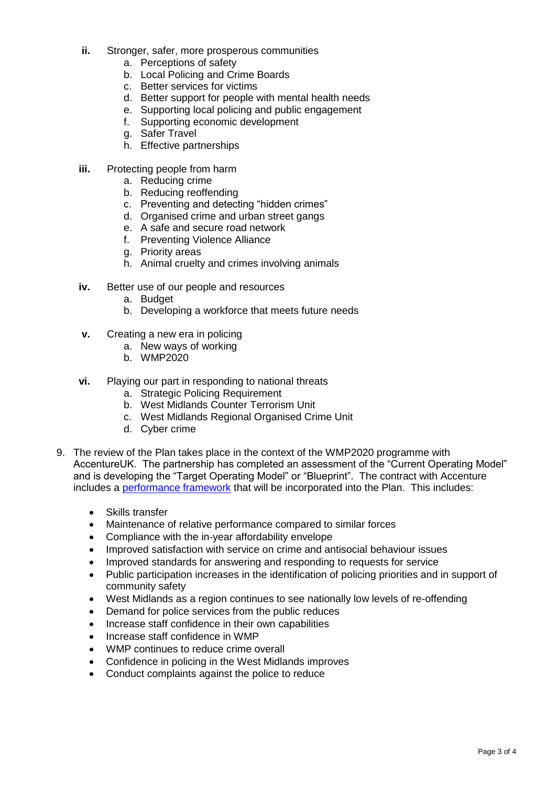- **ii.** Stronger, safer, more prosperous communities
	- a. Perceptions of safety
	- b. Local Policing and Crime Boards
	- c. Better services for victims
	- d. Better support for people with mental health needs
	- e. Supporting local policing and public engagement
	- f. Supporting economic development
	- g. Safer Travel
	- h. Effective partnerships
- **iii.** Protecting people from harm
	- a. Reducing crime
	- b. Reducing reoffending
	- c. Preventing and detecting "hidden crimes"
	- d. Organised crime and urban street gangs
	- e. A safe and secure road network
	- f. Preventing Violence Alliance
	- g. Priority areas
	- h. Animal cruelty and crimes involving animals
- **iv.** Better use of our people and resources
	- a. Budget
	- b. Developing a workforce that meets future needs
- **v.** Creating a new era in policing
	- a. New ways of working
	- b. WMP2020
- **vi.** Playing our part in responding to national threats
	- a. Strategic Policing Requirement
	- b. West Midlands Counter Terrorism Unit
	- c. West Midlands Regional Organised Crime Unit
	- d. Cyber crime
- 9. The review of the Plan takes place in the context of the WMP2020 programme with AccentureUK. The partnership has completed an assessment of the "Current Operating Model" and is developing the "Target Operating Model" or "Blueprint". The contract with Accenture includes a [performance framework](http://westmidlands-pcc.gov.uk/media/353287/05-spcb-04-nov-14-innovation-and-integration-partnership-with-accenture.pdf) that will be incorporated into the Plan. This includes:
	- Skills transfer
	- Maintenance of relative performance compared to similar forces
	- Compliance with the in-year affordability envelope
	- Improved satisfaction with service on crime and antisocial behaviour issues
	- Improved standards for answering and responding to requests for service
	- Public participation increases in the identification of policing priorities and in support of community safety
	- West Midlands as a region continues to see nationally low levels of re-offending
	- Demand for police services from the public reduces
	- Increase staff confidence in their own capabilities
	- Increase staff confidence in WMP
	- WMP continues to reduce crime overall
	- Confidence in policing in the West Midlands improves
	- Conduct complaints against the police to reduce